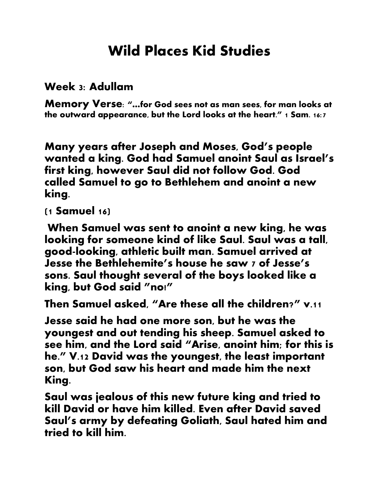## **Wild Places Kid Studies**

## **Week 3: Adullam**

**Memory Verse: "…for God sees not as man sees, for man looks at the outward appearance, but the Lord looks at the heart." 1 Sam. 16:7**

**Many years after Joseph and Moses, God's people wanted a king. God had Samuel anoint Saul as Israel's first king, however Saul did not follow God. God called Samuel to go to Bethlehem and anoint a new king.**

## **(1 Samuel 16)**

**When Samuel was sent to anoint a new king, he was looking for someone kind of like Saul. Saul was a tall, good-looking, athletic built man. Samuel arrived at Jesse the Bethlehemite's house he saw 7 of Jesse's sons. Saul thought several of the boys looked like a king, but God said "no!"**

**Then Samuel asked, "Are these all the children?" v.11**

**Jesse said he had one more son, but he was the youngest and out tending his sheep. Samuel asked to see him, and the Lord said "Arise, anoint him; for this is he." V.12 David was the youngest, the least important son, but God saw his heart and made him the next King.**

**Saul was jealous of this new future king and tried to kill David or have him killed. Even after David saved Saul's army by defeating Goliath, Saul hated him and tried to kill him.**